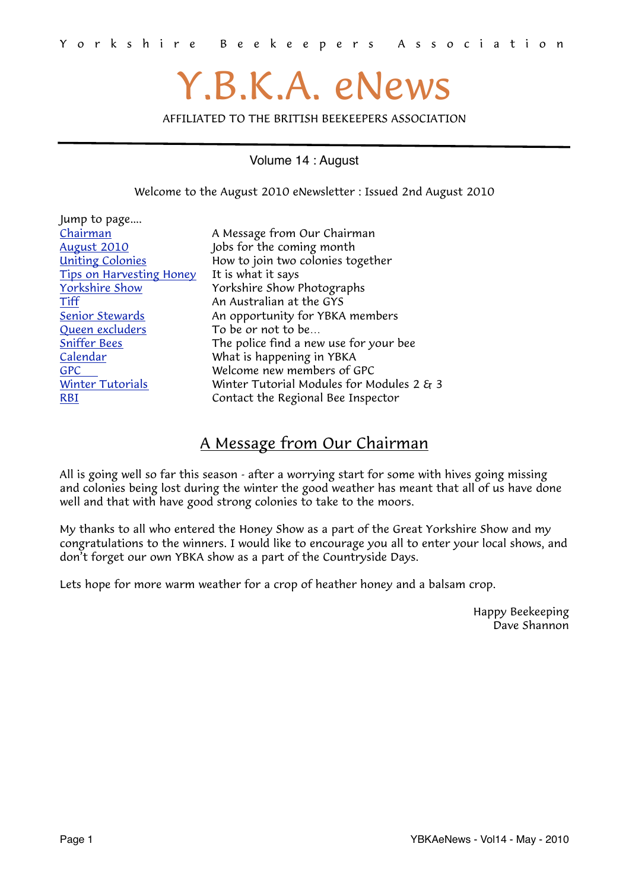# Y.B.K.A. eNews

AFFILIATED TO THE BRITISH BEEKEEPERS ASSOCIATION

Volume 14 : August

<span id="page-0-1"></span>Welcome to the August 2010 eNewsletter : Issued 2nd August 2010

| Jump to page                    |                                                 |
|---------------------------------|-------------------------------------------------|
| Chairman                        | A Message from Our Chairman                     |
| <b>August 2010</b>              | Jobs for the coming month                       |
| <b>Uniting Colonies</b>         | How to join two colonies together               |
| <b>Tips on Harvesting Honey</b> | It is what it says                              |
| <b>Yorkshire Show</b>           | Yorkshire Show Photographs                      |
| Tiff                            | An Australian at the GYS                        |
| <b>Senior Stewards</b>          | An opportunity for YBKA members                 |
| Queen excluders                 | To be or not to be                              |
| <b>Sniffer Bees</b>             | The police find a new use for your bee          |
| Calendar                        | What is happening in YBKA                       |
| <b>GPC</b>                      | Welcome new members of GPC                      |
| <b>Winter Tutorials</b>         | Winter Tutorial Modules for Modules 2 $\xi_1$ 3 |
| <b>RBI</b>                      | Contact the Regional Bee Inspector              |
|                                 |                                                 |

#### <span id="page-0-0"></span>A Message from Our Chairman

All is going well so far this season - after a worrying start for some with hives going missing and colonies being lost during the winter the good weather has meant that all of us have done well and that with have good strong colonies to take to the moors.

My thanks to all who entered the Honey Show as a part of the Great Yorkshire Show and my congratulations to the winners. I would like to encourage you all to enter your local shows, and don't forget our own YBKA show as a part of the Countryside Days.

Lets hope for more warm weather for a crop of heather honey and a balsam crop.

Happy Beekeeping Dave Shannon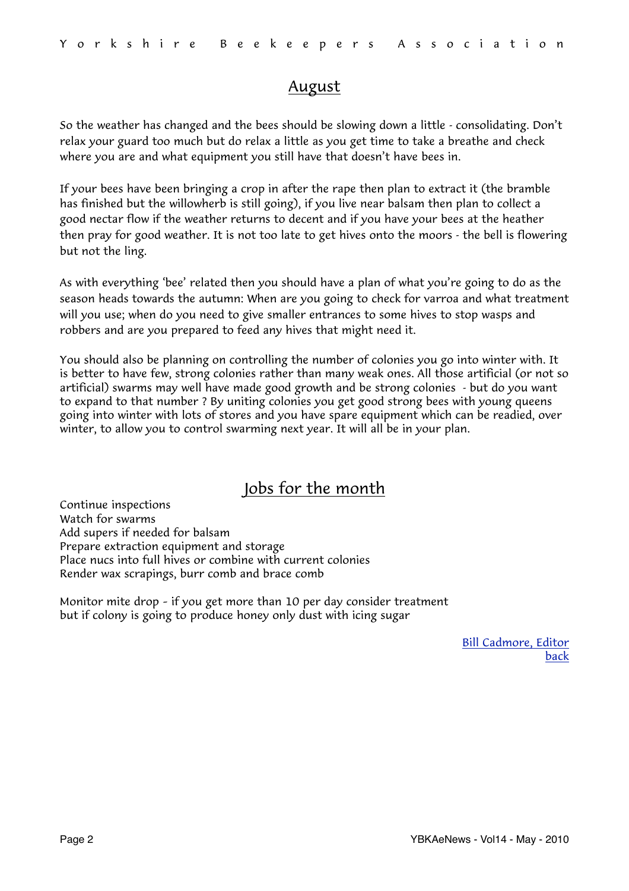#### <span id="page-1-0"></span>August

So the weather has changed and the bees should be slowing down a little - consolidating. Don't relax your guard too much but do relax a little as you get time to take a breathe and check where you are and what equipment you still have that doesn't have bees in.

If your bees have been bringing a crop in after the rape then plan to extract it (the bramble has finished but the willowherb is still going), if you live near balsam then plan to collect a good nectar flow if the weather returns to decent and if you have your bees at the heather then pray for good weather. It is not too late to get hives onto the moors - the bell is flowering but not the ling.

As with everything 'bee' related then you should have a plan of what you're going to do as the season heads towards the autumn: When are you going to check for varroa and what treatment will you use; when do you need to give smaller entrances to some hives to stop wasps and robbers and are you prepared to feed any hives that might need it.

You should also be planning on controlling the number of colonies you go into winter with. It is better to have few, strong colonies rather than many weak ones. All those artificial (or not so artificial) swarms may well have made good growth and be strong colonies - but do you want to expand to that number ? By uniting colonies you get good strong bees with young queens going into winter with lots of stores and you have spare equipment which can be readied, over winter, to allow you to control swarming next year. It will all be in your plan.

## Jobs for the month

Continue inspections Watch for swarms Add supers if needed for balsam Prepare extraction equipment and storage Place nucs into full hives or combine with current colonies Render wax scrapings, burr comb and brace comb

Monitor mite drop – if you get more than 10 per day consider treatment but if colony is going to produce honey only dust with icing sugar

> [Bill Cadmore, Editor](mailto:ybkanews@ntlworld.com?subject=eNewsletter) [back](#page-0-1)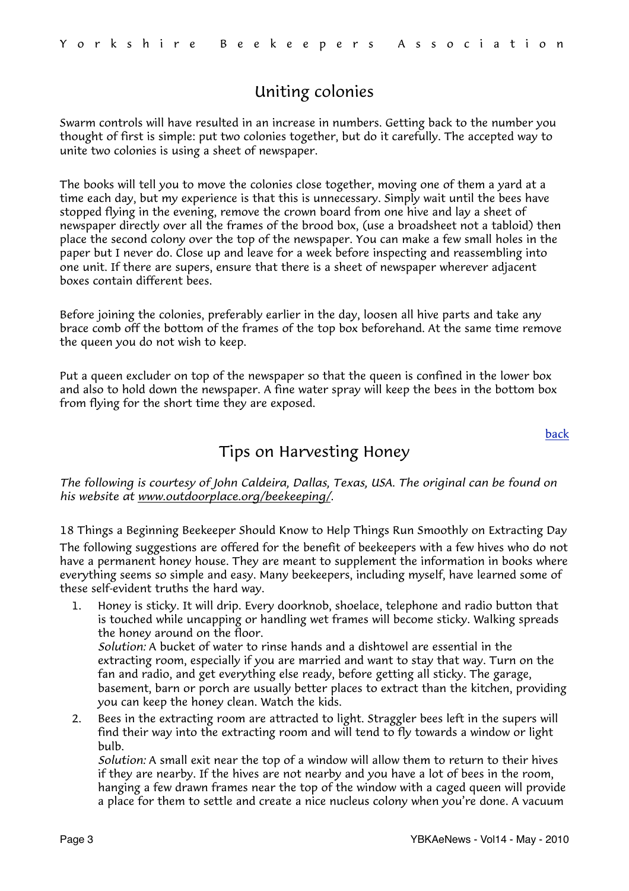## <span id="page-2-0"></span>Uniting colonies

Swarm controls will have resulted in an increase in numbers. Getting back to the number you thought of first is simple: put two colonies together, but do it carefully. The accepted way to unite two colonies is using a sheet of newspaper.

The books will tell you to move the colonies close together, moving one of them a yard at a time each day, but my experience is that this is unnecessary. Simply wait until the bees have stopped flying in the evening, remove the crown board from one hive and lay a sheet of newspaper directly over all the frames of the brood box, (use a broadsheet not a tabloid) then place the second colony over the top of the newspaper. You can make a few small holes in the paper but I never do. Close up and leave for a week before inspecting and reassembling into one unit. If there are supers, ensure that there is a sheet of newspaper wherever adjacent boxes contain different bees.

Before joining the colonies, preferably earlier in the day, loosen all hive parts and take any brace comb off the bottom of the frames of the top box beforehand. At the same time remove the queen you do not wish to keep.

Put a queen excluder on top of the newspaper so that the queen is confined in the lower box and also to hold down the newspaper. A fine water spray will keep the bees in the bottom box from flying for the short time they are exposed.

[back](#page-0-1)

## <span id="page-2-1"></span>Tips on Harvesting Honey

*The following is courtesy of John Caldeira, Dallas, Texas, USA. The original can be found on his website at [www.outdoorplace.org/beekeeping/.](http://outdoorplace.org/beekeeping/)*

18 Things a Beginning Beekeeper Should Know to Help Things Run Smoothly on Extracting Day The following suggestions are offered for the benefit of beekeepers with a few hives who do not have a permanent honey house. They are meant to supplement the information in books where everything seems so simple and easy. Many beekeepers, including myself, have learned some of these self-evident truths the hard way.

1. Honey is sticky. It will drip. Every doorknob, shoelace, telephone and radio button that is touched while uncapping or handling wet frames will become sticky. Walking spreads the honey around on the floor.

 *Solution:* A bucket of water to rinse hands and a dishtowel are essential in the extracting room, especially if you are married and want to stay that way. Turn on the fan and radio, and get everything else ready, before getting all sticky. The garage, basement, barn or porch are usually better places to extract than the kitchen, providing you can keep the honey clean. Watch the kids.

2. Bees in the extracting room are attracted to light. Straggler bees left in the supers will find their way into the extracting room and will tend to fly towards a window or light bulb.

 *Solution:* A small exit near the top of a window will allow them to return to their hives if they are nearby. If the hives are not nearby and you have a lot of bees in the room, hanging a few drawn frames near the top of the window with a caged queen will provide a place for them to settle and create a nice nucleus colony when you're done. A vacuum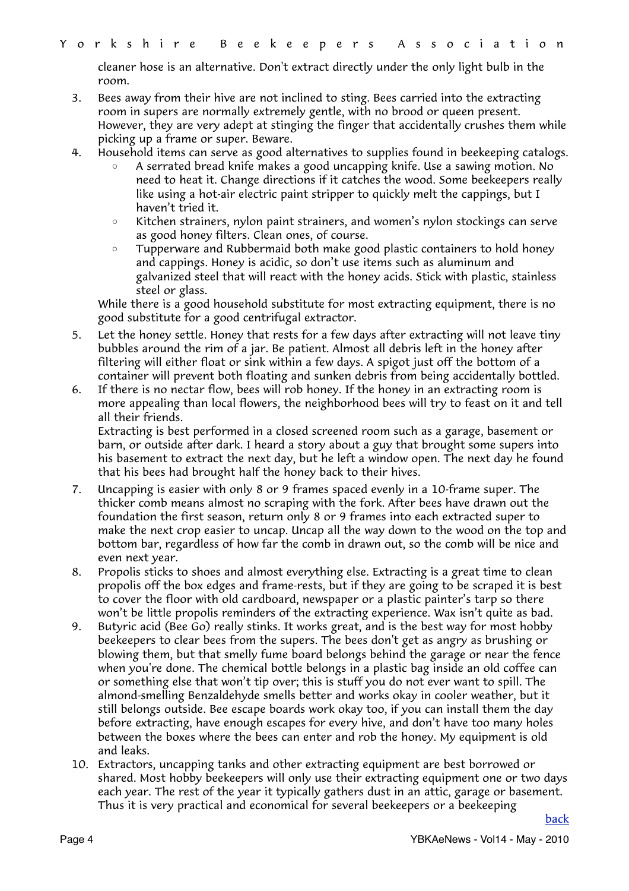cleaner hose is an alternative. Don't extract directly under the only light bulb in the room.

- 3. Bees away from their hive are not inclined to sting. Bees carried into the extracting room in supers are normally extremely gentle, with no brood or queen present. However, they are very adept at stinging the finger that accidentally crushes them while picking up a frame or super. Beware.
- 4. Household items can serve as good alternatives to supplies found in beekeeping catalogs.
	- A serrated bread knife makes a good uncapping knife. Use a sawing motion. No need to heat it. Change directions if it catches the wood. Some beekeepers really like using a hot-air electric paint stripper to quickly melt the cappings, but I haven't tried it.
	- Kitchen strainers, nylon paint strainers, and women's nylon stockings can serve as good honey filters. Clean ones, of course.
	- Tupperware and Rubbermaid both make good plastic containers to hold honey and cappings. Honey is acidic, so don't use items such as aluminum and galvanized steel that will react with the honey acids. Stick with plastic, stainless steel or glass.

 While there is a good household substitute for most extracting equipment, there is no good substitute for a good centrifugal extractor.

- 5. Let the honey settle. Honey that rests for a few days after extracting will not leave tiny bubbles around the rim of a jar. Be patient. Almost all debris left in the honey after filtering will either float or sink within a few days. A spigot just off the bottom of a container will prevent both floating and sunken debris from being accidentally bottled.
- 6. If there is no nectar flow, bees will rob honey. If the honey in an extracting room is more appealing than local flowers, the neighborhood bees will try to feast on it and tell all their friends.

 Extracting is best performed in a closed screened room such as a garage, basement or barn, or outside after dark. I heard a story about a guy that brought some supers into his basement to extract the next day, but he left a window open. The next day he found that his bees had brought half the honey back to their hives.

- 7. Uncapping is easier with only 8 or 9 frames spaced evenly in a 10-frame super. The thicker comb means almost no scraping with the fork. After bees have drawn out the foundation the first season, return only 8 or 9 frames into each extracted super to make the next crop easier to uncap. Uncap all the way down to the wood on the top and bottom bar, regardless of how far the comb in drawn out, so the comb will be nice and even next year.
- 8. Propolis sticks to shoes and almost everything else. Extracting is a great time to clean propolis off the box edges and frame-rests, but if they are going to be scraped it is best to cover the floor with old cardboard, newspaper or a plastic painter's tarp so there won't be little propolis reminders of the extracting experience. Wax isn't quite as bad.
- 9. Butyric acid (Bee Go) really stinks. It works great, and is the best way for most hobby beekeepers to clear bees from the supers. The bees don't get as angry as brushing or blowing them, but that smelly fume board belongs behind the garage or near the fence when you're done. The chemical bottle belongs in a plastic bag inside an old coffee can or something else that won't tip over; this is stuff you do not ever want to spill. The almond-smelling Benzaldehyde smells better and works okay in cooler weather, but it still belongs outside. Bee escape boards work okay too, if you can install them the day before extracting, have enough escapes for every hive, and don't have too many holes between the boxes where the bees can enter and rob the honey. My equipment is old and leaks.
- 10. Extractors, uncapping tanks and other extracting equipment are best borrowed or shared. Most hobby beekeepers will only use their extracting equipment one or two days each year. The rest of the year it typically gathers dust in an attic, garage or basement. Thus it is very practical and economical for several beekeepers or a beekeeping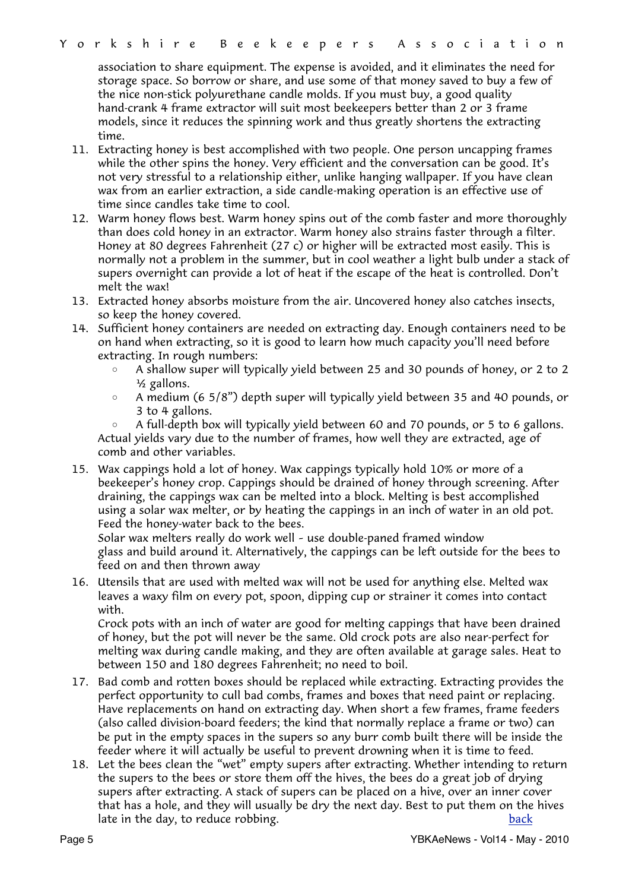association to share equipment. The expense is avoided, and it eliminates the need for storage space. So borrow or share, and use some of that money saved to buy a few of the nice non-stick polyurethane candle molds. If you must buy, a good quality hand-crank 4 frame extractor will suit most beekeepers better than 2 or 3 frame models, since it reduces the spinning work and thus greatly shortens the extracting time.

- 11. Extracting honey is best accomplished with two people. One person uncapping frames while the other spins the honey. Very efficient and the conversation can be good. It's not very stressful to a relationship either, unlike hanging wallpaper. If you have clean wax from an earlier extraction, a side candle-making operation is an effective use of time since candles take time to cool.
- 12. Warm honey flows best. Warm honey spins out of the comb faster and more thoroughly than does cold honey in an extractor. Warm honey also strains faster through a filter. Honey at 80 degrees Fahrenheit (27 c) or higher will be extracted most easily. This is normally not a problem in the summer, but in cool weather a light bulb under a stack of supers overnight can provide a lot of heat if the escape of the heat is controlled. Don't melt the wax!
- 13. Extracted honey absorbs moisture from the air. Uncovered honey also catches insects, so keep the honey covered.
- 14. Sufficient honey containers are needed on extracting day. Enough containers need to be on hand when extracting, so it is good to learn how much capacity you'll need before extracting. In rough numbers:
	- A shallow super will typically yield between 25 and 30 pounds of honey, or 2 to 2 ½ gallons.
	- A medium (6 5/8") depth super will typically yield between 35 and 40 pounds, or 3 to 4 gallons.

A full-depth box will typically yield between 60 and 70 pounds, or 5 to 6 gallons. Actual yields vary due to the number of frames, how well they are extracted, age of comb and other variables.

15. Wax cappings hold a lot of honey. Wax cappings typically hold 10% or more of a beekeeper's honey crop. Cappings should be drained of honey through screening. After draining, the cappings wax can be melted into a block. Melting is best accomplished using a solar wax melter, or by heating the cappings in an inch of water in an old pot. Feed the honey-water back to the bees.

 Solar wax melters really do work well – use double-paned framed window glass and build around it. Alternatively, the cappings can be left outside for the bees to feed on and then thrown away

16. Utensils that are used with melted wax will not be used for anything else. Melted wax leaves a waxy film on every pot, spoon, dipping cup or strainer it comes into contact with.

 Crock pots with an inch of water are good for melting cappings that have been drained of honey, but the pot will never be the same. Old crock pots are also near-perfect for melting wax during candle making, and they are often available at garage sales. Heat to between 150 and 180 degrees Fahrenheit; no need to boil.

- 17. Bad comb and rotten boxes should be replaced while extracting. Extracting provides the perfect opportunity to cull bad combs, frames and boxes that need paint or replacing. Have replacements on hand on extracting day. When short a few frames, frame feeders (also called division-board feeders; the kind that normally replace a frame or two) can be put in the empty spaces in the supers so any burr comb built there will be inside the feeder where it will actually be useful to prevent drowning when it is time to feed.
- 18. Let the bees clean the "wet" empty supers after extracting. Whether intending to return the supers to the bees or store them off the hives, the bees do a great job of drying supers after extracting. A stack of supers can be placed on a hive, over an inner cover that has a hole, and they will usually be dry the next day. Best to put them on the hives late in the day, to reduce robbing. The same state is a state of the [back](#page-0-1) back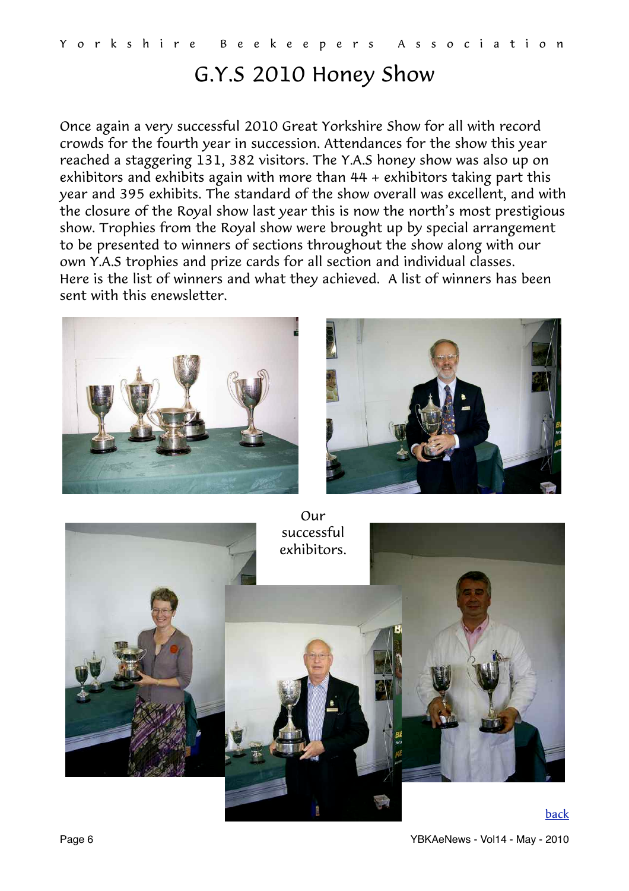# <span id="page-5-0"></span>G.Y.S 2010 Honey Show

Once again a very successful 2010 Great Yorkshire Show for all with record crowds for the fourth year in succession. Attendances for the show this year reached a staggering 131, 382 visitors. The Y.A.S honey show was also up on exhibitors and exhibits again with more than 44 + exhibitors taking part this year and 395 exhibits. The standard of the show overall was excellent, and with the closure of the Royal show last year this is now the north's most prestigious show. Trophies from the Royal show were brought up by special arrangement to be presented to winners of sections throughout the show along with our own Y.A.S trophies and prize cards for all section and individual classes. Here is the list of winners and what they achieved. A list of winners has been sent with this enewsletter.





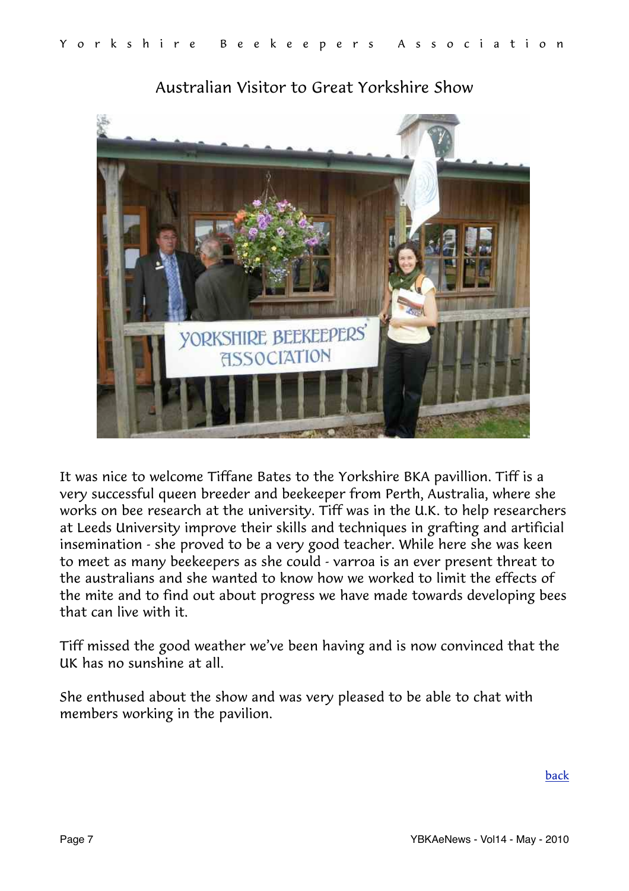

## <span id="page-6-0"></span>Australian Visitor to Great Yorkshire Show

It was nice to welcome Tiffane Bates to the Yorkshire BKA pavillion. Tiff is a very successful queen breeder and beekeeper from Perth, Australia, where she works on bee research at the university. Tiff was in the U.K. to help researchers at Leeds University improve their skills and techniques in grafting and artificial insemination - she proved to be a very good teacher. While here she was keen to meet as many beekeepers as she could - varroa is an ever present threat to the australians and she wanted to know how we worked to limit the effects of the mite and to find out about progress we have made towards developing bees that can live with it.

Tiff missed the good weather we've been having and is now convinced that the UK has no sunshine at all.

She enthused about the show and was very pleased to be able to chat with members working in the pavilion.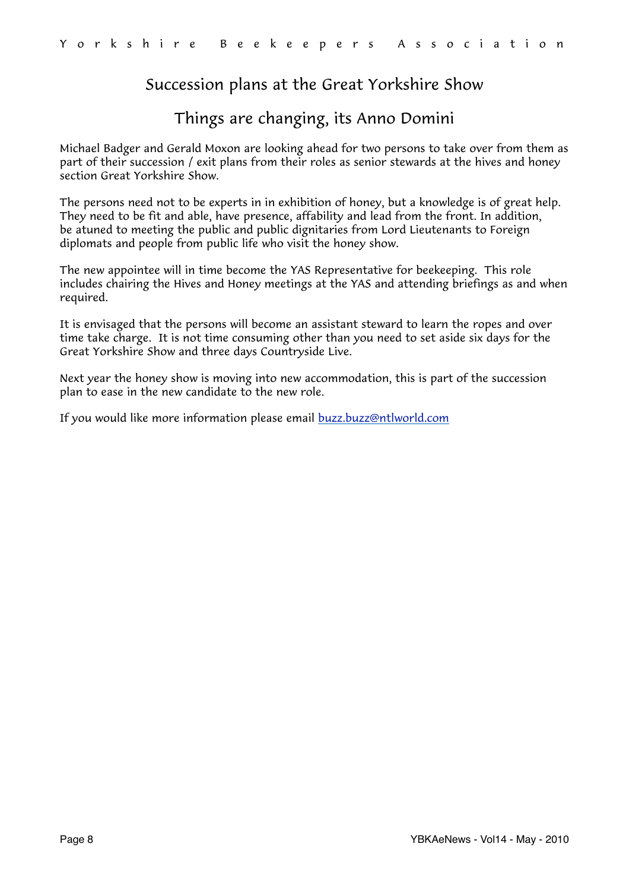## <span id="page-7-0"></span>Succession plans at the Great Yorkshire Show

#### Things are changing, its Anno Domini

Michael Badger and Gerald Moxon are looking ahead for two persons to take over from them as part of their succession / exit plans from their roles as senior stewards at the hives and honey section Great Yorkshire Show.

The persons need not to be experts in in exhibition of honey, but a knowledge is of great help. They need to be fit and able, have presence, affability and lead from the front. In addition, be atuned to meeting the public and public dignitaries from Lord Lieutenants to Foreign diplomats and people from public life who visit the honey show.

The new appointee will in time become the YAS Representative for beekeeping. This role includes chairing the Hives and Honey meetings at the YAS and attending briefings as and when required.

It is envisaged that the persons will become an assistant steward to learn the ropes and over time take charge. It is not time consuming other than you need to set aside six days for the Great Yorkshire Show and three days Countryside Live.

Next year the honey show is moving into new accommodation, this is part of the succession plan to ease in the new candidate to the new role.

If you would like more information please email [buzz.buzz@ntlworld.com](mailto:buzz.buzz@ntlworld.com)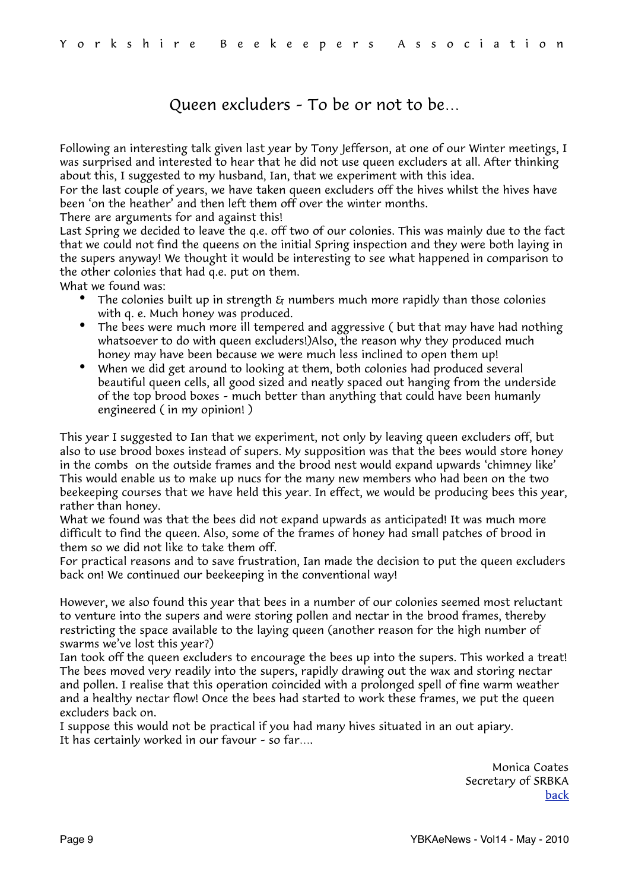#### <span id="page-8-0"></span>Queen excluders – To be or not to be…

Following an interesting talk given last year by Tony Jefferson, at one of our Winter meetings, I was surprised and interested to hear that he did not use queen excluders at all. After thinking about this, I suggested to my husband, Ian, that we experiment with this idea.

For the last couple of years, we have taken queen excluders off the hives whilst the hives have been 'on the heather' and then left them off over the winter months.

There are arguments for and against this!

Last Spring we decided to leave the q.e. off two of our colonies. This was mainly due to the fact that we could not find the queens on the initial Spring inspection and they were both laying in the supers anyway! We thought it would be interesting to see what happened in comparison to the other colonies that had q.e. put on them.

What we found was:

- The colonies built up in strength  $\varepsilon_T$  numbers much more rapidly than those colonies with q. e. Much honey was produced.
- The bees were much more ill tempered and aggressive (but that may have had nothing whatsoever to do with queen excluders!)Also, the reason why they produced much honey may have been because we were much less inclined to open them up!
- When we did get around to looking at them, both colonies had produced several beautiful queen cells, all good sized and neatly spaced out hanging from the underside of the top brood boxes – much better than anything that could have been humanly engineered ( in my opinion! )

This year I suggested to Ian that we experiment, not only by leaving queen excluders off, but also to use brood boxes instead of supers. My supposition was that the bees would store honey in the combs on the outside frames and the brood nest would expand upwards 'chimney like' This would enable us to make up nucs for the many new members who had been on the two beekeeping courses that we have held this year. In effect, we would be producing bees this year, rather than honey.

What we found was that the bees did not expand upwards as anticipated! It was much more difficult to find the queen. Also, some of the frames of honey had small patches of brood in them so we did not like to take them off.

For practical reasons and to save frustration, Ian made the decision to put the queen excluders back on! We continued our beekeeping in the conventional way!

However, we also found this year that bees in a number of our colonies seemed most reluctant to venture into the supers and were storing pollen and nectar in the brood frames, thereby restricting the space available to the laying queen (another reason for the high number of swarms we've lost this year?)

Ian took off the queen excluders to encourage the bees up into the supers. This worked a treat! The bees moved very readily into the supers, rapidly drawing out the wax and storing nectar and pollen. I realise that this operation coincided with a prolonged spell of fine warm weather and a healthy nectar flow! Once the bees had started to work these frames, we put the queen excluders back on.

I suppose this would not be practical if you had many hives situated in an out apiary. It has certainly worked in our favour – so far….

> Monica Coates Secretary of SRBKA [back](#page-0-1)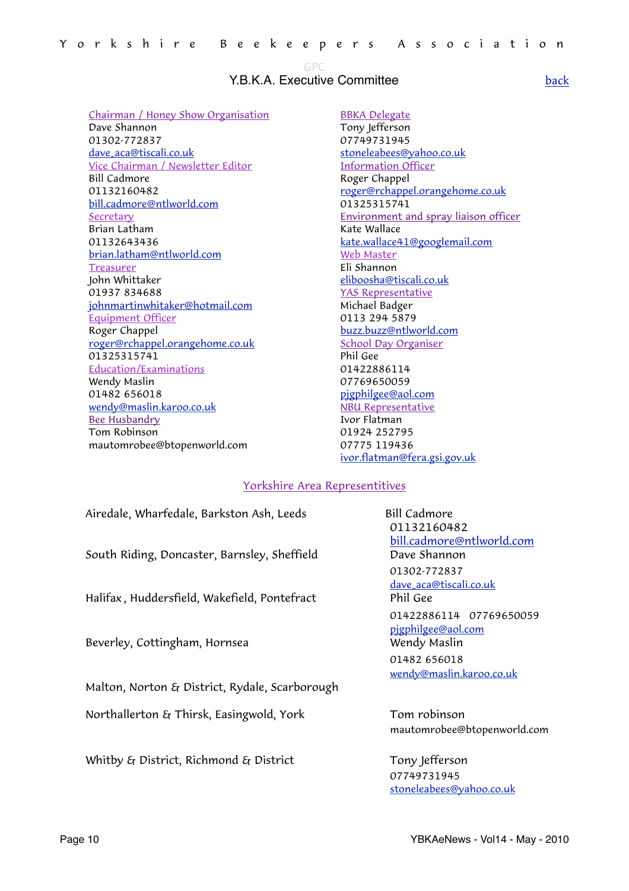<span id="page-9-0"></span>GPC

#### Y.B.K.A. Executive Committee

Chairman / Honey Show Organisation Dave Shannon 01302-772837 [dave\\_aca@tiscali.co.uk](mailto:dave_aca@tiscali.co.uk?subject=GPC) Vice Chairman / Newsletter Editor Bill Cadmore 01132160482 [bill.cadmore@ntlworld.com](mailto:bill.cadmore@ntlworld.com) Secretary Brian Latham 01132643436 [brian.latham@ntlworld.com](mailto:brian.latham@ntlworld.com) Treasurer John Whittaker 01937 834688 [johnmartinwhitaker@hotmail.com](mailto:johnmartinwhitaker@hotmail.com) Equipment Officer Roger Chappel [roger@rchappel.orangehome.co.uk](mailto:roger@rchappel.orangehome.co.uk) 01325315741 Education/Examinations Wendy Maslin 01482 656018 [wendy@maslin.karoo.co.uk](mailto:wendy@maslin.karoo.co.uk) Bee Husbandry Tom Robinson mautomrobee@btopenworld.com

BBKA Delegate

Tony lefferson 07749731945 [stoneleabees@yahoo.co.uk](mailto:stoneleabees@yahoo.co.uk) Information Officer Roger Chappel [roger@rchappel.orangehome.co.uk](mailto:roger@rchappel.orangehome.co.uk) 01325315741 Environment and spray liaison officer Kate Wallace [kate.wallace41@googlemail.com](mailto:kate.wallace41@googlemail.com) Web Master Eli Shannon [eliboosha@tiscali.co.uk](mailto:eliboosha@tiscali.co.uk) YAS Representative Michael Badger 0113 294 5879 [buzz.buzz@ntlworld.com](mailto:buzz.buzz@ntlworld.com) School Day Organiser Phil Gee 01422886114 07769650059 [pjgphilgee@aol.com](mailto:pjgphilgee@aol.com) NBU Representative Ivor Flatman 01924 252795 07775 119436 [ivor.flatman@fera.gsi.gov.uk](mailto:ivor.flatman@fera.gsi.gov.uk)

#### Yorkshire Area Representitives

| Airedale, Wharfedale, Barkston Ash, Leeds      | <b>Bill Cadm</b> |
|------------------------------------------------|------------------|
|                                                | 011321           |
|                                                | bill.cadn        |
| South Riding, Doncaster, Barnsley, Sheffield   | Dave Sh          |
|                                                | 01302-7          |
|                                                | dave_aca         |
| Halifax, Huddersfield, Wakefield, Pontefract   | Phil Gee         |
|                                                | 0142288          |
|                                                | pigphilge        |
| Beverley, Cottingham, Hornsea                  | Wendy N          |
|                                                | 014826           |
|                                                | wendy@r          |
| Malton, Norton & District, Rydale, Scarborough |                  |
| Northallerton & Thirsk, Easingwold, York       | Tom rol          |
|                                                | mautomi          |

Whitby  $\mathcal{E}_{\mathbf{I}}$  District, Richmond  $\mathcal{E}_{\mathbf{I}}$  District  $\qquad \qquad$  Tony Jefferson

**Bill Cadmore**  01132160482 [bill.cadmore@ntlworld.com](mailto:bill.cadmore@ntlworld.com) Dave Shannon 01302-772837 [dave\\_aca@tiscali.co.uk](mailto:dave_aca@tiscali.co.uk?subject=GPC) 01422886114 07769650059 [pjgphilgee@aol.com](mailto:pjgphilgee@aol.com) Wendy Maslin 01482 656018 [wendy@maslin.karoo.co.uk](mailto:wendy@maslin.karoo.co.uk)

Tom robinson mautomrobee@btopenworld.com

 07749731945 [stoneleabees@yahoo.co.uk](mailto:stoneleabees@yahoo.co.uk)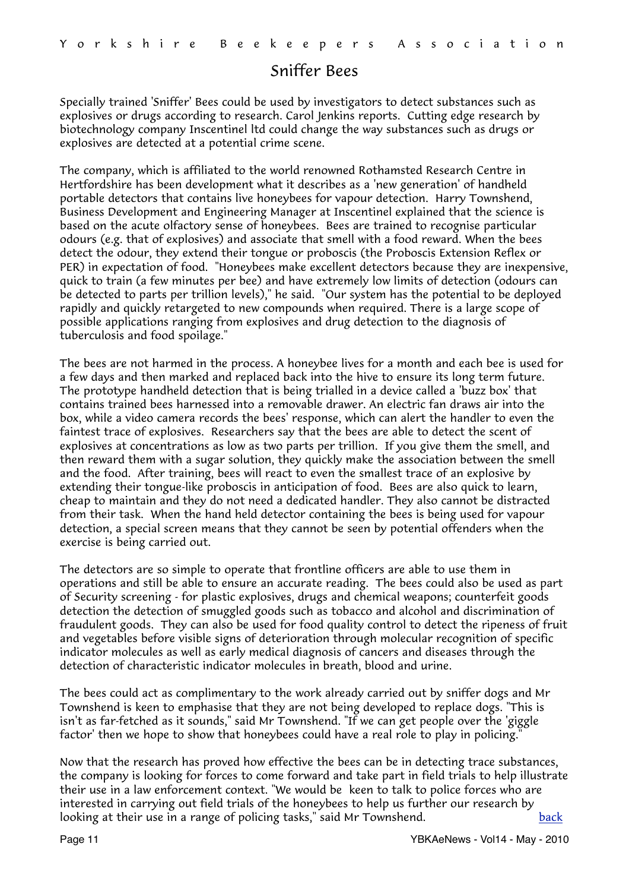#### <span id="page-10-0"></span>Sniffer Bees

Specially trained 'Sniffer' Bees could be used by investigators to detect substances such as explosives or drugs according to research. Carol Jenkins reports. Cutting edge research by biotechnology company Inscentinel ltd could change the way substances such as drugs or explosives are detected at a potential crime scene.

The company, which is affiliated to the world renowned Rothamsted Research Centre in Hertfordshire has been development what it describes as a 'new generation' of handheld portable detectors that contains live honeybees for vapour detection. Harry Townshend, Business Development and Engineering Manager at Inscentinel explained that the science is based on the acute olfactory sense of honeybees. Bees are trained to recognise particular odours (e.g. that of explosives) and associate that smell with a food reward. When the bees detect the odour, they extend their tongue or proboscis (the Proboscis Extension Reflex or PER) in expectation of food. "Honeybees make excellent detectors because they are inexpensive, quick to train (a few minutes per bee) and have extremely low limits of detection (odours can be detected to parts per trillion levels)," he said. "Our system has the potential to be deployed rapidly and quickly retargeted to new compounds when required. There is a large scope of possible applications ranging from explosives and drug detection to the diagnosis of tuberculosis and food spoilage."

The bees are not harmed in the process. A honeybee lives for a month and each bee is used for a few days and then marked and replaced back into the hive to ensure its long term future. The prototype handheld detection that is being trialled in a device called a 'buzz box' that contains trained bees harnessed into a removable drawer. An electric fan draws air into the box, while a video camera records the bees' response, which can alert the handler to even the faintest trace of explosives. Researchers say that the bees are able to detect the scent of explosives at concentrations as low as two parts per trillion. If you give them the smell, and then reward them with a sugar solution, they quickly make the association between the smell and the food. After training, bees will react to even the smallest trace of an explosive by extending their tongue-like proboscis in anticipation of food. Bees are also quick to learn, cheap to maintain and they do not need a dedicated handler. They also cannot be distracted from their task. When the hand held detector containing the bees is being used for vapour detection, a special screen means that they cannot be seen by potential offenders when the exercise is being carried out.

The detectors are so simple to operate that frontline officers are able to use them in operations and still be able to ensure an accurate reading. The bees could also be used as part of Security screening - for plastic explosives, drugs and chemical weapons; counterfeit goods detection the detection of smuggled goods such as tobacco and alcohol and discrimination of fraudulent goods. They can also be used for food quality control to detect the ripeness of fruit and vegetables before visible signs of deterioration through molecular recognition of specific indicator molecules as well as early medical diagnosis of cancers and diseases through the detection of characteristic indicator molecules in breath, blood and urine.

The bees could act as complimentary to the work already carried out by sniffer dogs and Mr Townshend is keen to emphasise that they are not being developed to replace dogs. "This is isn't as far-fetched as it sounds," said Mr Townshend. "If we can get people over the 'giggle factor' then we hope to show that honeybees could have a real role to play in policing.

Now that the research has proved how effective the bees can be in detecting trace substances, the company is looking for forces to come forward and take part in field trials to help illustrate their use in a law enforcement context. "We would be keen to talk to police forces who are interested in carrying out field trials of the honeybees to help us further our research by looking at their use in a range of policing tasks," said Mr Townshend. [back](#page-0-1)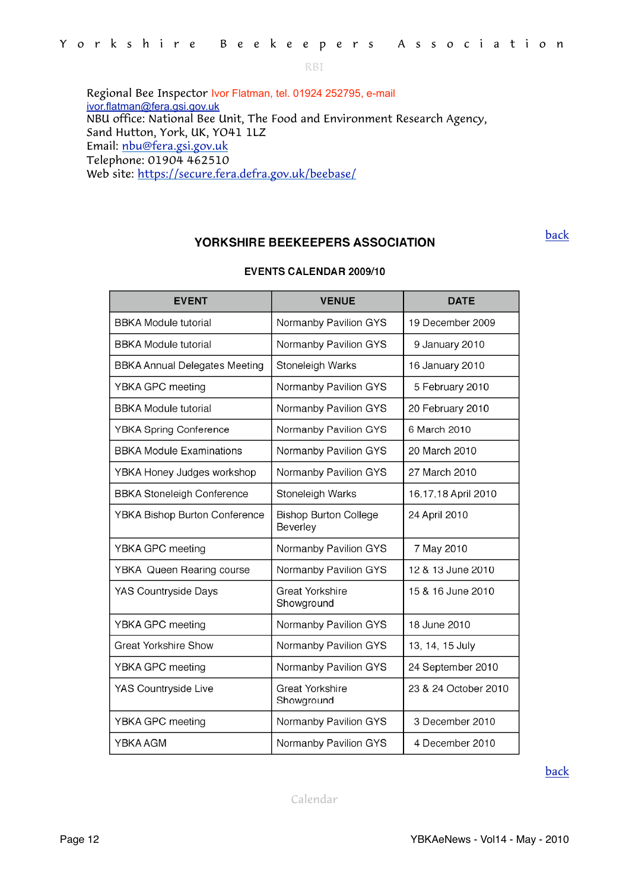<span id="page-11-1"></span>RBI

Regional Bee Inspector Ivor Flatman, tel. 01924 252795, e-mail [ivor.flatman@fera.gsi.gov.uk](mailto:ivor.flatman@fera.gsi.gov.uk) NBU office: National Bee Unit, The Food and Environment Research Agency, Sand Hutton, York, UK, YO41 1LZ Email: [nbu@fera.gsi.gov.uk](mailto:nbu@fera.gsi.gov.uk) Telephone: 01904 462510 Web site:<https://secure.fera.defra.gov.uk/beebase/>

#### YORKSHIRE BEEKEEPERS ASSOCIATION

[back](#page-0-1)

| <b>EVENT</b>                         | <b>VENUE</b>                             | <b>DATE</b>          |
|--------------------------------------|------------------------------------------|----------------------|
| <b>BBKA Module tutorial</b>          | Normanby Pavilion GYS                    | 19 December 2009     |
| <b>BBKA Module tutorial</b>          | Normanby Pavilion GYS                    | 9 January 2010       |
| <b>BBKA Annual Delegates Meeting</b> | Stoneleigh Warks                         | 16 January 2010      |
| YBKA GPC meeting                     | Normanby Pavilion GYS                    | 5 February 2010      |
| <b>BBKA Module tutorial</b>          | Normanby Pavilion GYS                    | 20 February 2010     |
| <b>YBKA Spring Conference</b>        | Normanby Pavilion GYS                    | 6 March 2010         |
| <b>BBKA Module Examinations</b>      | Normanby Pavilion GYS                    | 20 March 2010        |
| YBKA Honey Judges workshop           | Normanby Pavilion GYS                    | 27 March 2010        |
| <b>BBKA Stoneleigh Conference</b>    | Stoneleigh Warks                         | 16,17,18 April 2010  |
| YBKA Bishop Burton Conference        | <b>Bishop Burton College</b><br>Beverley | 24 April 2010        |
| YBKA GPC meeting                     | Normanby Pavilion GYS                    | 7 May 2010           |
| YBKA Queen Rearing course            | Normanby Pavilion GYS                    | 12 & 13 June 2010    |
| <b>YAS Countryside Days</b>          | <b>Great Yorkshire</b><br>Showground     | 15 & 16 June 2010    |
| YBKA GPC meeting                     | Normanby Pavilion GYS                    | 18 June 2010         |
| <b>Great Yorkshire Show</b>          | Normanby Pavilion GYS                    | 13, 14, 15 July      |
| YBKA GPC meeting                     | Normanby Pavilion GYS                    | 24 September 2010    |
| YAS Countryside Live                 | <b>Great Yorkshire</b><br>Showground     | 23 & 24 October 2010 |
| YBKA GPC meeting                     | Normanby Pavilion GYS                    | 3 December 2010      |
| YBKA AGM                             | Normanby Pavilion GYS                    | 4 December 2010      |

**EVENTS CALENDAR 2009/10** 

[back](#page-0-1)

<span id="page-11-0"></span>Calendar